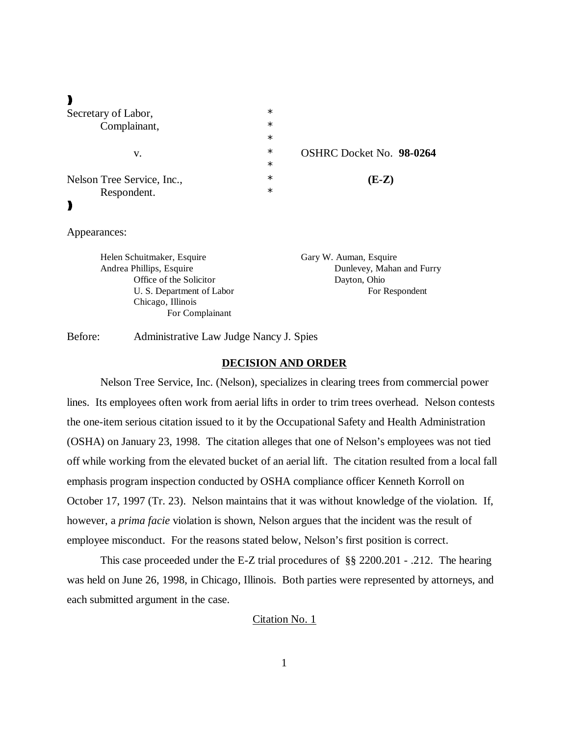$\blacksquare$ 

| Secretary of Labor,        | $\ast$ |                          |
|----------------------------|--------|--------------------------|
| Complainant,<br>v.         | $\ast$ |                          |
|                            | $\ast$ |                          |
|                            | $\ast$ | OSHRC Docket No. 98-0264 |
|                            | $\ast$ |                          |
| Nelson Tree Service, Inc., | $\ast$ | $(E-Z)$                  |
| Respondent.                | $\ast$ |                          |
|                            |        |                          |

## Appearances:

| Helen Schuitmaker, Esquire | Gary W. Auman, Esquire    |
|----------------------------|---------------------------|
| Andrea Phillips, Esquire   | Dunlevey, Mahan and Furry |
| Office of the Solicitor    | Dayton, Ohio              |
| U. S. Department of Labor  | For Respondent            |
| Chicago, Illinois          |                           |
| For Complainant            |                           |

Before: Administrative Law Judge Nancy J. Spies

## **DECISION AND ORDER**

Nelson Tree Service, Inc. (Nelson), specializes in clearing trees from commercial power lines. Its employees often work from aerial lifts in order to trim trees overhead. Nelson contests the one-item serious citation issued to it by the Occupational Safety and Health Administration (OSHA) on January 23, 1998. The citation alleges that one of Nelson's employees was not tied off while working from the elevated bucket of an aerial lift. The citation resulted from a local fall emphasis program inspection conducted by OSHA compliance officer Kenneth Korroll on October 17, 1997 (Tr. 23). Nelson maintains that it was without knowledge of the violation. If, however, a *prima facie* violation is shown, Nelson argues that the incident was the result of employee misconduct. For the reasons stated below, Nelson's first position is correct.

This case proceeded under the E-Z trial procedures of §§ 2200.201 - .212. The hearing was held on June 26, 1998, in Chicago, Illinois. Both parties were represented by attorneys, and each submitted argument in the case.

# Citation No. 1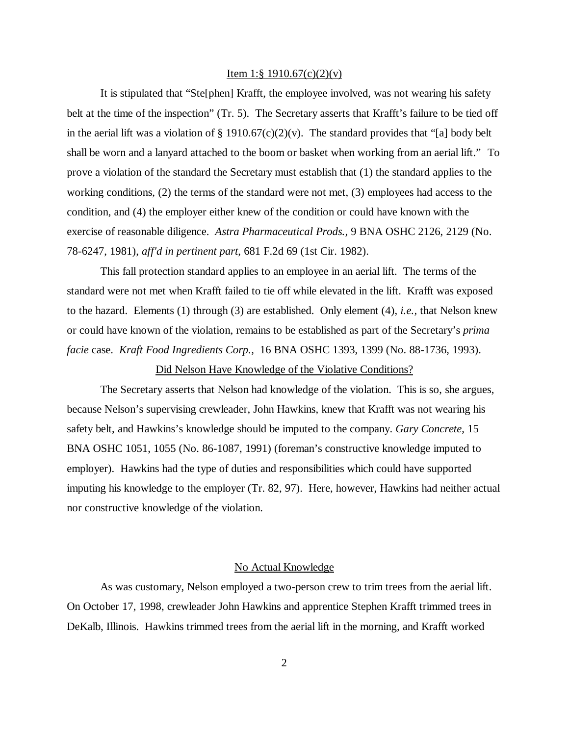#### Item 1:§ 1910.67(c)(2)(v)

It is stipulated that "Ste[phen] Krafft, the employee involved, was not wearing his safety belt at the time of the inspection" (Tr. 5). The Secretary asserts that Krafft's failure to be tied off in the aerial lift was a violation of  $\S 1910.67(c)(2)(v)$ . The standard provides that "[a] body belt shall be worn and a lanyard attached to the boom or basket when working from an aerial lift." To prove a violation of the standard the Secretary must establish that (1) the standard applies to the working conditions, (2) the terms of the standard were not met, (3) employees had access to the condition, and (4) the employer either knew of the condition or could have known with the exercise of reasonable diligence. *Astra Pharmaceutical Prods.,* 9 BNA OSHC 2126, 2129 (No. 78-6247, 1981), *aff'd in pertinent part*, 681 F.2d 69 (1st Cir. 1982).

This fall protection standard applies to an employee in an aerial lift. The terms of the standard were not met when Krafft failed to tie off while elevated in the lift. Krafft was exposed to the hazard. Elements (1) through (3) are established. Only element (4), *i.e.,* that Nelson knew or could have known of the violation, remains to be established as part of the Secretary's *prima facie* case. *Kraft Food Ingredients Corp.,* 16 BNA OSHC 1393, 1399 (No. 88-1736, 1993).

## Did Nelson Have Knowledge of the Violative Conditions?

The Secretary asserts that Nelson had knowledge of the violation. This is so, she argues, because Nelson's supervising crewleader, John Hawkins, knew that Krafft was not wearing his safety belt, and Hawkins's knowledge should be imputed to the company. *Gary Concrete*, 15 BNA OSHC 1051, 1055 (No. 86-1087, 1991) (foreman's constructive knowledge imputed to employer). Hawkins had the type of duties and responsibilities which could have supported imputing his knowledge to the employer (Tr. 82, 97). Here, however, Hawkins had neither actual nor constructive knowledge of the violation.

## No Actual Knowledge

As was customary, Nelson employed a two-person crew to trim trees from the aerial lift. On October 17, 1998, crewleader John Hawkins and apprentice Stephen Krafft trimmed trees in DeKalb, Illinois. Hawkins trimmed trees from the aerial lift in the morning, and Krafft worked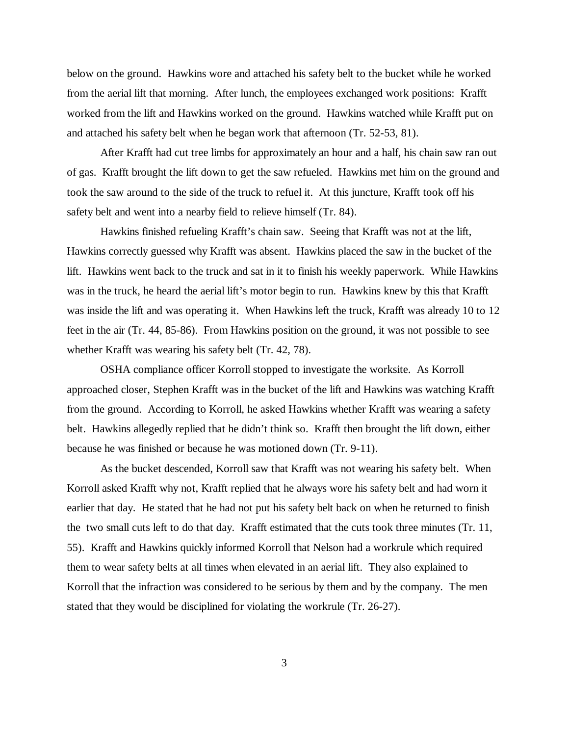below on the ground. Hawkins wore and attached his safety belt to the bucket while he worked from the aerial lift that morning. After lunch, the employees exchanged work positions: Krafft worked from the lift and Hawkins worked on the ground. Hawkins watched while Krafft put on and attached his safety belt when he began work that afternoon (Tr. 52-53, 81).

After Krafft had cut tree limbs for approximately an hour and a half, his chain saw ran out of gas. Krafft brought the lift down to get the saw refueled. Hawkins met him on the ground and took the saw around to the side of the truck to refuel it. At this juncture, Krafft took off his safety belt and went into a nearby field to relieve himself (Tr. 84).

Hawkins finished refueling Krafft's chain saw. Seeing that Krafft was not at the lift, Hawkins correctly guessed why Krafft was absent. Hawkins placed the saw in the bucket of the lift. Hawkins went back to the truck and sat in it to finish his weekly paperwork. While Hawkins was in the truck, he heard the aerial lift's motor begin to run. Hawkins knew by this that Krafft was inside the lift and was operating it. When Hawkins left the truck, Krafft was already 10 to 12 feet in the air (Tr. 44, 85-86). From Hawkins position on the ground, it was not possible to see whether Krafft was wearing his safety belt (Tr. 42, 78).

OSHA compliance officer Korroll stopped to investigate the worksite. As Korroll approached closer, Stephen Krafft was in the bucket of the lift and Hawkins was watching Krafft from the ground. According to Korroll, he asked Hawkins whether Krafft was wearing a safety belt. Hawkins allegedly replied that he didn't think so. Krafft then brought the lift down, either because he was finished or because he was motioned down (Tr. 9-11).

As the bucket descended, Korroll saw that Krafft was not wearing his safety belt. When Korroll asked Krafft why not, Krafft replied that he always wore his safety belt and had worn it earlier that day. He stated that he had not put his safety belt back on when he returned to finish the two small cuts left to do that day. Krafft estimated that the cuts took three minutes (Tr. 11, 55). Krafft and Hawkins quickly informed Korroll that Nelson had a workrule which required them to wear safety belts at all times when elevated in an aerial lift. They also explained to Korroll that the infraction was considered to be serious by them and by the company. The men stated that they would be disciplined for violating the workrule (Tr. 26-27).

3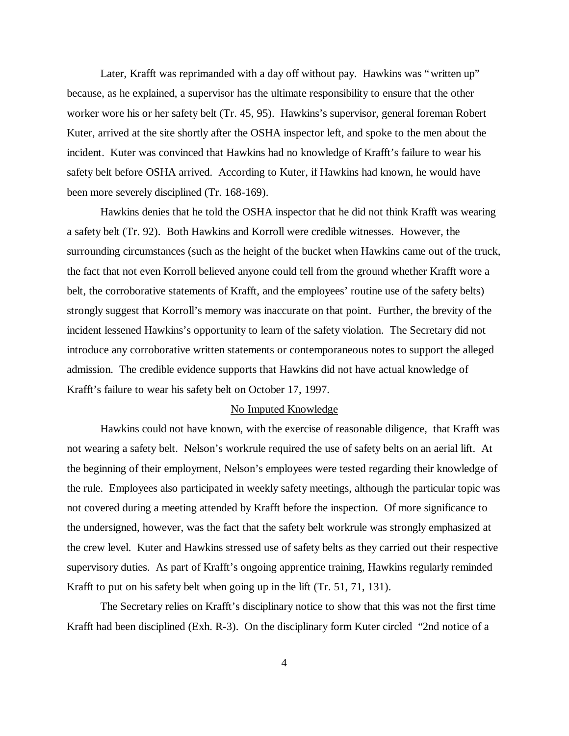Later, Krafft was reprimanded with a day off without pay. Hawkins was "written up" because, as he explained, a supervisor has the ultimate responsibility to ensure that the other worker wore his or her safety belt (Tr. 45, 95). Hawkins's supervisor, general foreman Robert Kuter, arrived at the site shortly after the OSHA inspector left, and spoke to the men about the incident. Kuter was convinced that Hawkins had no knowledge of Krafft's failure to wear his safety belt before OSHA arrived. According to Kuter, if Hawkins had known, he would have been more severely disciplined (Tr. 168-169).

Hawkins denies that he told the OSHA inspector that he did not think Krafft was wearing a safety belt (Tr. 92). Both Hawkins and Korroll were credible witnesses. However, the surrounding circumstances (such as the height of the bucket when Hawkins came out of the truck, the fact that not even Korroll believed anyone could tell from the ground whether Krafft wore a belt, the corroborative statements of Krafft, and the employees' routine use of the safety belts) strongly suggest that Korroll's memory was inaccurate on that point. Further, the brevity of the incident lessened Hawkins's opportunity to learn of the safety violation. The Secretary did not introduce any corroborative written statements or contemporaneous notes to support the alleged admission. The credible evidence supports that Hawkins did not have actual knowledge of Krafft's failure to wear his safety belt on October 17, 1997.

#### No Imputed Knowledge

Hawkins could not have known, with the exercise of reasonable diligence, that Krafft was not wearing a safety belt. Nelson's workrule required the use of safety belts on an aerial lift. At the beginning of their employment, Nelson's employees were tested regarding their knowledge of the rule. Employees also participated in weekly safety meetings, although the particular topic was not covered during a meeting attended by Krafft before the inspection. Of more significance to the undersigned, however, was the fact that the safety belt workrule was strongly emphasized at the crew level. Kuter and Hawkins stressed use of safety belts as they carried out their respective supervisory duties. As part of Krafft's ongoing apprentice training, Hawkins regularly reminded Krafft to put on his safety belt when going up in the lift (Tr. 51, 71, 131).

The Secretary relies on Krafft's disciplinary notice to show that this was not the first time Krafft had been disciplined (Exh. R-3). On the disciplinary form Kuter circled "2nd notice of a